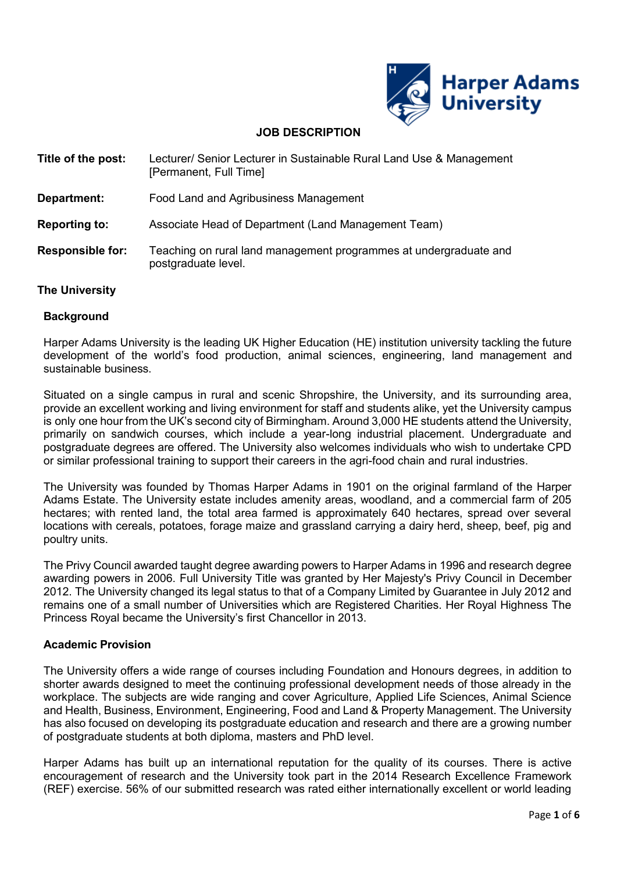

# **JOB DESCRIPTION**

| Title of the post:      | Lecturer/ Senior Lecturer in Sustainable Rural Land Use & Management<br>[Permanent, Full Time] |  |
|-------------------------|------------------------------------------------------------------------------------------------|--|
| Department:             | Food Land and Agribusiness Management                                                          |  |
| <b>Reporting to:</b>    | Associate Head of Department (Land Management Team)                                            |  |
| <b>Responsible for:</b> | Teaching on rural land management programmes at undergraduate and<br>postgraduate level.       |  |

# **The University**

#### **Background**

Harper Adams University is the leading UK Higher Education (HE) institution university tackling the future development of the world's food production, animal sciences, engineering, land management and sustainable business.

Situated on a single campus in rural and scenic Shropshire, the University, and its surrounding area, provide an excellent working and living environment for staff and students alike, yet the University campus is only one hour from the UK's second city of Birmingham. Around 3,000 HE students attend the University, primarily on sandwich courses, which include a year-long industrial placement. Undergraduate and postgraduate degrees are offered. The University also welcomes individuals who wish to undertake CPD or similar professional training to support their careers in the agri-food chain and rural industries.

The University was founded by Thomas Harper Adams in 1901 on the original farmland of the Harper Adams Estate. The University estate includes amenity areas, woodland, and a commercial farm of 205 hectares; with rented land, the total area farmed is approximately 640 hectares, spread over several locations with cereals, potatoes, forage maize and grassland carrying a dairy herd, sheep, beef, pig and poultry units.

The Privy Council awarded taught degree awarding powers to Harper Adams in 1996 and research degree awarding powers in 2006. Full University Title was granted by Her Majesty's Privy Council in December 2012. The University changed its legal status to that of a Company Limited by Guarantee in July 2012 and remains one of a small number of Universities which are Registered Charities. Her Royal Highness The Princess Royal became the University's first Chancellor in 2013.

# **Academic Provision**

The University offers a wide range of courses including Foundation and Honours degrees, in addition to shorter awards designed to meet the continuing professional development needs of those already in the workplace. The subjects are wide ranging and cover Agriculture, Applied Life Sciences, Animal Science and Health, Business, Environment, Engineering, Food and Land & Property Management. The University has also focused on developing its postgraduate education and research and there are a growing number of postgraduate students at both diploma, masters and PhD level.

Harper Adams has built up an international reputation for the quality of its courses. There is active encouragement of research and the University took part in the 2014 Research Excellence Framework (REF) exercise. 56% of our submitted research was rated either internationally excellent or world leading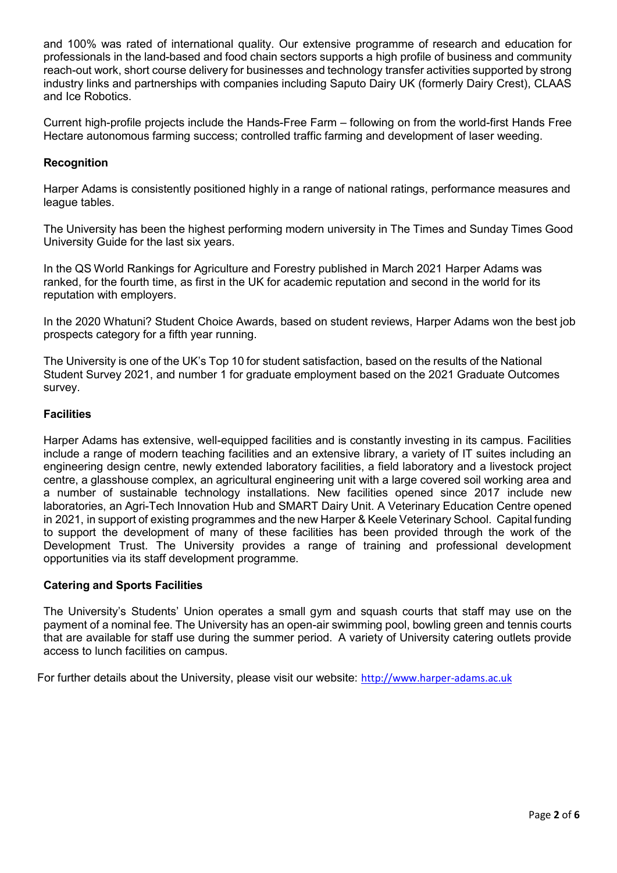and 100% was rated of international quality. Our extensive programme of research and education for professionals in the land-based and food chain sectors supports a high profile of business and community reach-out work, short course delivery for businesses and technology transfer activities supported by strong industry links and partnerships with companies including Saputo Dairy UK (formerly Dairy Crest), CLAAS and Ice Robotics.

Current high-profile projects include the Hands-Free Farm – following on from the world-first Hands Free Hectare autonomous farming success; controlled traffic farming and development of laser weeding.

# **Recognition**

Harper Adams is consistently positioned highly in a range of national ratings, performance measures and league tables.

The University has been the highest performing modern university in The Times and Sunday Times Good University Guide for the last six years.

In the QS World Rankings for Agriculture and Forestry published in March 2021 Harper Adams was ranked, for the fourth time, as first in the UK for academic reputation and second in the world for its reputation with employers.

In the 2020 Whatuni? Student Choice Awards, based on student reviews, Harper Adams won the best job prospects category for a fifth year running.

The University is one of the UK's Top 10 for student satisfaction, based on the results of the National Student Survey 2021, and number 1 for graduate employment based on the 2021 Graduate Outcomes survey.

# **Facilities**

Harper Adams has extensive, well-equipped facilities and is constantly investing in its campus. Facilities include a range of modern teaching facilities and an extensive library, a variety of IT suites including an engineering design centre, newly extended laboratory facilities, a field laboratory and a livestock project centre, a glasshouse complex, an agricultural engineering unit with a large covered soil working area and a number of sustainable technology installations. New facilities opened since 2017 include new laboratories, an Agri-Tech Innovation Hub and SMART Dairy Unit. A Veterinary Education Centre opened in 2021, in support of existing programmes and the new Harper & Keele Veterinary School. Capital funding to support the development of many of these facilities has been provided through the work of the Development Trust. The University provides a range of training and professional development opportunities via its staff development programme.

# **Catering and Sports Facilities**

The University's Students' Union operates a small gym and squash courts that staff may use on the payment of a nominal fee. The University has an open-air swimming pool, bowling green and tennis courts that are available for staff use during the summer period. A variety of University catering outlets provide access to lunch facilities on campus.

For further details about the University, please visit our website: [http://www.harper-adams.ac.uk](http://www.harper-adams.ac.uk/)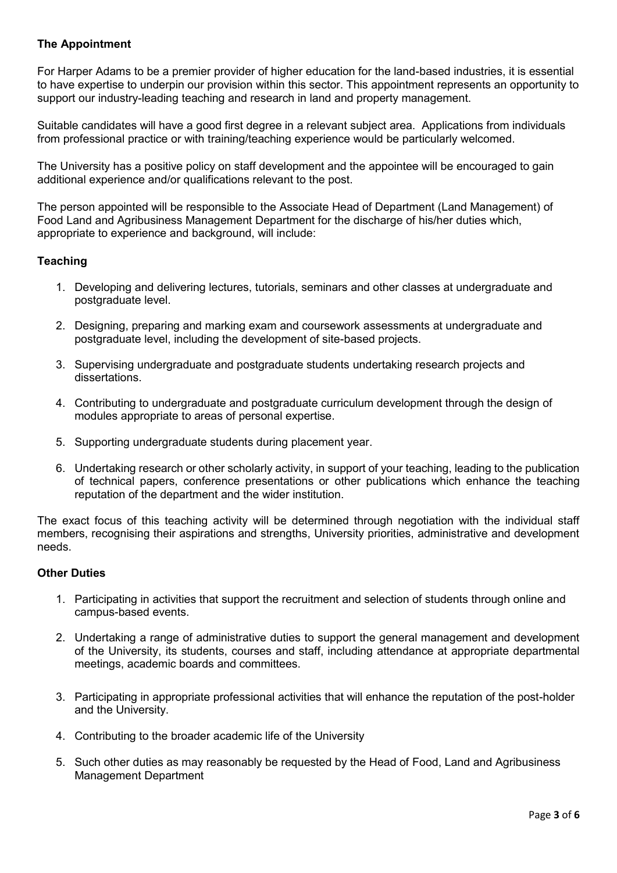# **The Appointment**

For Harper Adams to be a premier provider of higher education for the land-based industries, it is essential to have expertise to underpin our provision within this sector. This appointment represents an opportunity to support our industry-leading teaching and research in land and property management.

Suitable candidates will have a good first degree in a relevant subject area. Applications from individuals from professional practice or with training/teaching experience would be particularly welcomed.

The University has a positive policy on staff development and the appointee will be encouraged to gain additional experience and/or qualifications relevant to the post.

The person appointed will be responsible to the Associate Head of Department (Land Management) of Food Land and Agribusiness Management Department for the discharge of his/her duties which, appropriate to experience and background, will include:

# **Teaching**

- 1. Developing and delivering lectures, tutorials, seminars and other classes at undergraduate and postgraduate level.
- 2. Designing, preparing and marking exam and coursework assessments at undergraduate and postgraduate level, including the development of site-based projects.
- 3. Supervising undergraduate and postgraduate students undertaking research projects and dissertations.
- 4. Contributing to undergraduate and postgraduate curriculum development through the design of modules appropriate to areas of personal expertise.
- 5. Supporting undergraduate students during placement year.
- 6. Undertaking research or other scholarly activity, in support of your teaching, leading to the publication of technical papers, conference presentations or other publications which enhance the teaching reputation of the department and the wider institution.

The exact focus of this teaching activity will be determined through negotiation with the individual staff members, recognising their aspirations and strengths, University priorities, administrative and development needs.

#### **Other Duties**

- 1. Participating in activities that support the recruitment and selection of students through online and campus-based events.
- 2. Undertaking a range of administrative duties to support the general management and development of the University, its students, courses and staff, including attendance at appropriate departmental meetings, academic boards and committees.
- 3. Participating in appropriate professional activities that will enhance the reputation of the post-holder and the University.
- 4. Contributing to the broader academic life of the University
- 5. Such other duties as may reasonably be requested by the Head of Food, Land and Agribusiness Management Department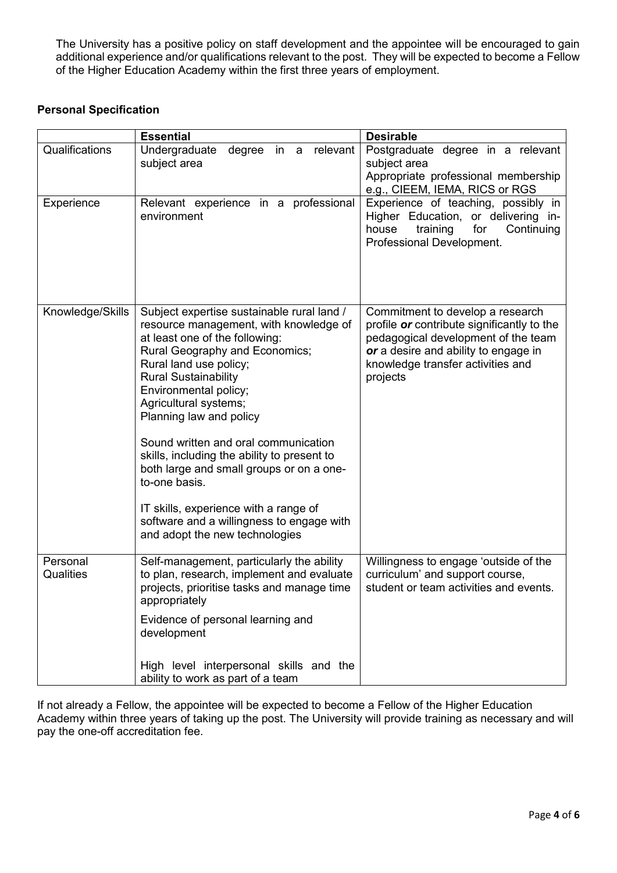The University has a positive policy on staff development and the appointee will be encouraged to gain additional experience and/or qualifications relevant to the post. They will be expected to become a Fellow of the Higher Education Academy within the first three years of employment.

# **Personal Specification**

|                       | <b>Essential</b>                                                                                                                                                                                                                                                                                                                                                                                                                                                                                                                                                           | <b>Desirable</b>                                                                                                                                                                                               |
|-----------------------|----------------------------------------------------------------------------------------------------------------------------------------------------------------------------------------------------------------------------------------------------------------------------------------------------------------------------------------------------------------------------------------------------------------------------------------------------------------------------------------------------------------------------------------------------------------------------|----------------------------------------------------------------------------------------------------------------------------------------------------------------------------------------------------------------|
| Qualifications        | Undergraduate<br>degree in a<br>relevant<br>subject area                                                                                                                                                                                                                                                                                                                                                                                                                                                                                                                   | Postgraduate degree in a relevant<br>subject area<br>Appropriate professional membership<br>e.g., CIEEM, IEMA, RICS or RGS                                                                                     |
| Experience            | Relevant experience in a professional<br>environment                                                                                                                                                                                                                                                                                                                                                                                                                                                                                                                       | Experience of teaching, possibly in<br>Higher Education, or delivering in-<br>house<br>training<br>for<br>Continuing<br>Professional Development.                                                              |
| Knowledge/Skills      | Subject expertise sustainable rural land /<br>resource management, with knowledge of<br>at least one of the following:<br>Rural Geography and Economics;<br>Rural land use policy;<br><b>Rural Sustainability</b><br>Environmental policy;<br>Agricultural systems;<br>Planning law and policy<br>Sound written and oral communication<br>skills, including the ability to present to<br>both large and small groups or on a one-<br>to-one basis.<br>IT skills, experience with a range of<br>software and a willingness to engage with<br>and adopt the new technologies | Commitment to develop a research<br>profile or contribute significantly to the<br>pedagogical development of the team<br>or a desire and ability to engage in<br>knowledge transfer activities and<br>projects |
| Personal<br>Qualities | Self-management, particularly the ability<br>to plan, research, implement and evaluate<br>projects, prioritise tasks and manage time<br>appropriately                                                                                                                                                                                                                                                                                                                                                                                                                      | Willingness to engage 'outside of the<br>curriculum' and support course,<br>student or team activities and events.                                                                                             |
|                       | Evidence of personal learning and<br>development<br>High level interpersonal skills and the                                                                                                                                                                                                                                                                                                                                                                                                                                                                                |                                                                                                                                                                                                                |
|                       | ability to work as part of a team                                                                                                                                                                                                                                                                                                                                                                                                                                                                                                                                          |                                                                                                                                                                                                                |

If not already a Fellow, the appointee will be expected to become a Fellow of the Higher Education Academy within three years of taking up the post. The University will provide training as necessary and will pay the one-off accreditation fee.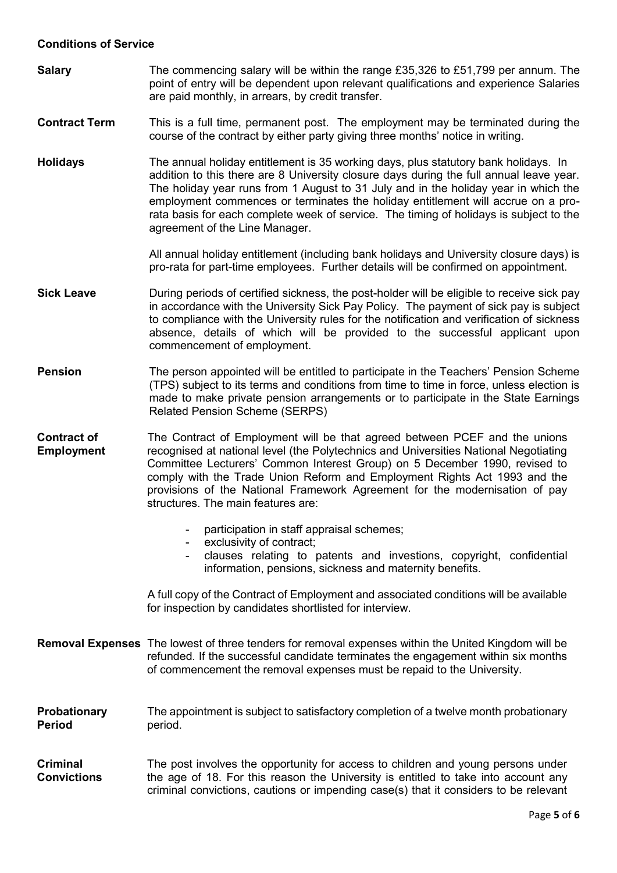#### **Conditions of Service**

**Salary** The commencing salary will be within the range £35,326 to £51,799 per annum. The point of entry will be dependent upon relevant qualifications and experience Salaries are paid monthly, in arrears, by credit transfer.

#### **Contract Term** This is a full time, permanent post. The employment may be terminated during the course of the contract by either party giving three months' notice in writing.

**Holidays** The annual holiday entitlement is 35 working days, plus statutory bank holidays. In addition to this there are 8 University closure days during the full annual leave year. The holiday year runs from 1 August to 31 July and in the holiday year in which the employment commences or terminates the holiday entitlement will accrue on a prorata basis for each complete week of service. The timing of holidays is subject to the agreement of the Line Manager.

> All annual holiday entitlement (including bank holidays and University closure days) is pro-rata for part-time employees. Further details will be confirmed on appointment.

- **Sick Leave During periods of certified sickness, the post-holder will be eligible to receive sick pay** in accordance with the University Sick Pay Policy. The payment of sick pay is subject to compliance with the University rules for the notification and verification of sickness absence, details of which will be provided to the successful applicant upon commencement of employment.
- **Pension** The person appointed will be entitled to participate in the Teachers' Pension Scheme (TPS) subject to its terms and conditions from time to time in force, unless election is made to make private pension arrangements or to participate in the State Earnings Related Pension Scheme (SERPS)
- **Contract of Employment** The Contract of Employment will be that agreed between PCEF and the unions recognised at national level (the Polytechnics and Universities National Negotiating Committee Lecturers' Common Interest Group) on 5 December 1990, revised to comply with the Trade Union Reform and Employment Rights Act 1993 and the provisions of the National Framework Agreement for the modernisation of pay structures. The main features are:
	- participation in staff appraisal schemes:
	- exclusivity of contract;
	- clauses relating to patents and investions, copyright, confidential information, pensions, sickness and maternity benefits.

A full copy of the Contract of Employment and associated conditions will be available for inspection by candidates shortlisted for interview.

- **Removal Expenses** The lowest of three tenders for removal expenses within the United Kingdom will be refunded. If the successful candidate terminates the engagement within six months of commencement the removal expenses must be repaid to the University.
- **Probationary Period**  The appointment is subject to satisfactory completion of a twelve month probationary period.

**Criminal Convictions** The post involves the opportunity for access to children and young persons under the age of 18. For this reason the University is entitled to take into account any criminal convictions, cautions or impending case(s) that it considers to be relevant